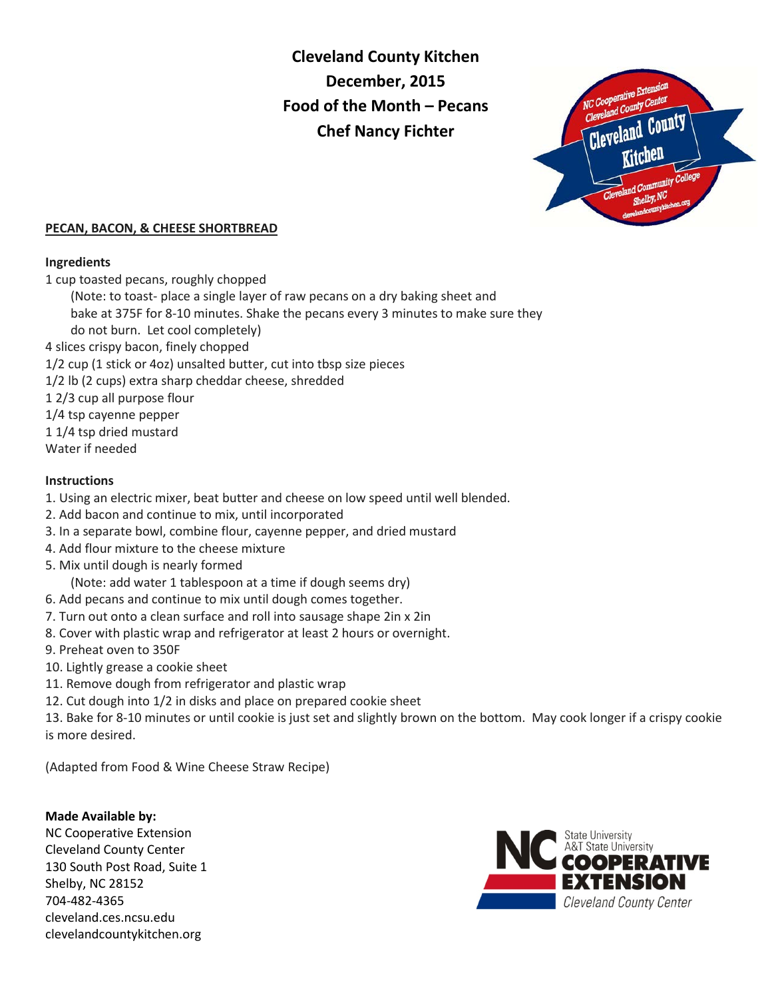# **Cleveland County Kitchen December, 2015 Food of the Month – Pecans Chef Nancy Fichter**



## **PECAN, BACON, & CHEESE SHORTBREAD**

## **Ingredients**

1 cup toasted pecans, roughly chopped

(Note: to toast- place a single layer of raw pecans on a dry baking sheet and

 bake at 375F for 8-10 minutes. Shake the pecans every 3 minutes to make sure they do not burn. Let cool completely)

4 slices crispy bacon, finely chopped

1/2 cup (1 stick or 4oz) unsalted butter, cut into tbsp size pieces

- 1/2 lb (2 cups) extra sharp cheddar cheese, shredded
- 1 2/3 cup all purpose flour
- 1/4 tsp cayenne pepper
- 1 1/4 tsp dried mustard
- Water if needed

## **Instructions**

- 1. Using an electric mixer, beat butter and cheese on low speed until well blended.
- 2. Add bacon and continue to mix, until incorporated
- 3. In a separate bowl, combine flour, cayenne pepper, and dried mustard
- 4. Add flour mixture to the cheese mixture
- 5. Mix until dough is nearly formed
- (Note: add water 1 tablespoon at a time if dough seems dry)
- 6. Add pecans and continue to mix until dough comes together.
- 7. Turn out onto a clean surface and roll into sausage shape 2in x 2in
- 8. Cover with plastic wrap and refrigerator at least 2 hours or overnight.
- 9. Preheat oven to 350F
- 10. Lightly grease a cookie sheet
- 11. Remove dough from refrigerator and plastic wrap
- 12. Cut dough into 1/2 in disks and place on prepared cookie sheet

13. Bake for 8-10 minutes or until cookie is just set and slightly brown on the bottom. May cook longer if a crispy cookie is more desired.

(Adapted from Food & Wine Cheese Straw Recipe)

## **Made Available by:**

NC Cooperative Extension Cleveland County Center 130 South Post Road, Suite 1 Shelby, NC 28152 704-482-4365 cleveland.ces.ncsu.edu clevelandcountykitchen.org